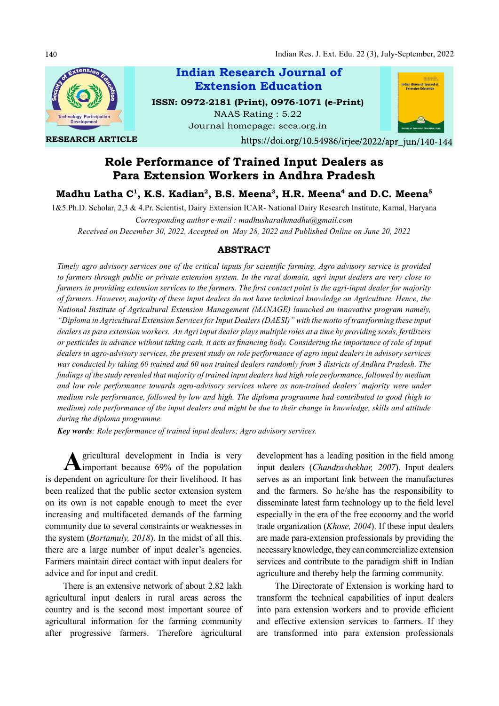

RESEARCH ARTICLE

Indian Research Journal of Extension Education

ISSN: 0972-2181 (Print), 0976-1071 (e-Print) NAAS Rating : 5.22 Journal homepage: seea.org.in



https://doi.org/10.54986/irjee/2022/apr\_jun/140-144

# Role Performance of Trained Input Dealers as Para Extension Workers in Andhra Pradesh

Madhu Latha C<sup>1</sup>, K.S. Kadian<sup>2</sup>, B.S. Meena<sup>3</sup>, H.R. Meena<sup>4</sup> and D.C. Meena<sup>5</sup>

1&5.Ph.D. Scholar, 2,3 & 4.Pr. Scientist, Dairy Extension ICAR- National Dairy Research Institute, Karnal, Haryana

Corresponding author e-mail : madhusharathmadhu@gmail.com Received on December 30, 2022, Accepted on May 28, 2022 and Published Online on June 20, 2022

## ABSTRACT

Timely agro advisory services one of the critical inputs for scientific farming. Agro advisory service is provided to farmers through public or private extension system. In the rural domain, agri input dealers are very close to farmers in providing extension services to the farmers. The first contact point is the agri-input dealer for majority of farmers. However, majority of these input dealers do not have technical knowledge on Agriculture. Hence, the National Institute of Agricultural Extension Management (MANAGE) launched an innovative program namely, "Diploma in Agricultural Extension Services for Input Dealers (DAESI)" with the motto of transforming these input dealers as para extension workers. An Agri input dealer plays multiple roles at a time by providing seeds, fertilizers or pesticides in advance without taking cash, it acts as financing body. Considering the importance of role of input dealers in agro-advisory services, the present study on role performance of agro input dealers in advisory services was conducted by taking 60 trained and 60 non trained dealers randomly from 3 districts of Andhra Pradesh. The findings of the study revealed that majority of trained input dealers had high role performance, followed by medium and low role performance towards agro-advisory services where as non-trained dealers' majority were under medium role performance, followed by low and high. The diploma programme had contributed to good (high to medium) role performance of the input dealers and might be due to their change in knowledge, skills and attitude during the diploma programme.

Key words: Role performance of trained input dealers; Agro advisory services.

A gricultural development in India is very development h<br>
important because 69% of the population input dealers gricultural development in India is very is dependent on agriculture for their livelihood. It has been realized that the public sector extension system on its own is not capable enough to meet the ever increasing and multifaceted demands of the farming community due to several constraints or weaknesses in the system (Bortamuly, 2018). In the midst of all this, there are a large number of input dealer's agencies. Farmers maintain direct contact with input dealers for advice and for input and credit.

There is an extensive network of about 2.82 lakh agricultural input dealers in rural areas across the country and is the second most important source of agricultural information for the farming community after progressive farmers. Therefore agricultural

development has a leading position in the field among input dealers (Chandrashekhar, 2007). Input dealers serves as an important link between the manufactures and the farmers. So he/she has the responsibility to disseminate latest farm technology up to the field level especially in the era of the free economy and the world trade organization (Khose, 2004). If these input dealers are made para-extension professionals by providing the necessary knowledge, they can commercialize extension services and contribute to the paradigm shift in Indian agriculture and thereby help the farming community.

The Directorate of Extension is working hard to transform the technical capabilities of input dealers into para extension workers and to provide efficient and effective extension services to farmers. If they are transformed into para extension professionals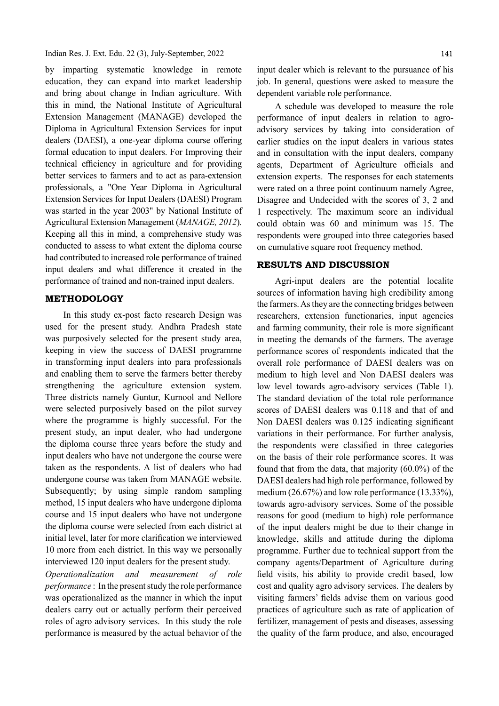Indian Res. J. Ext. Edu. 22 (3), July-September, 2022

by imparting systematic knowledge in remote education, they can expand into market leadership and bring about change in Indian agriculture. With this in mind, the National Institute of Agricultural Extension Management (MANAGE) developed the Diploma in Agricultural Extension Services for input dealers (DAESI), a one-year diploma course offering formal education to input dealers. For Improving their technical efficiency in agriculture and for providing better services to farmers and to act as para-extension professionals, a "One Year Diploma in Agricultural Extension Services for Input Dealers (DAESI) Program was started in the year 2003" by National Institute of Agricultural Extension Management (MANAGE, 2012). Keeping all this in mind, a comprehensive study was conducted to assess to what extent the diploma course had contributed to increased role performance of trained input dealers and what difference it created in the performance of trained and non-trained input dealers.

## METHODOLOGY

In this study ex-post facto research Design was used for the present study. Andhra Pradesh state was purposively selected for the present study area, keeping in view the success of DAESI programme in transforming input dealers into para professionals and enabling them to serve the farmers better thereby strengthening the agriculture extension system. Three districts namely Guntur, Kurnool and Nellore were selected purposively based on the pilot survey where the programme is highly successful. For the present study, an input dealer, who had undergone the diploma course three years before the study and input dealers who have not undergone the course were taken as the respondents. A list of dealers who had undergone course was taken from MANAGE website. Subsequently; by using simple random sampling method, 15 input dealers who have undergone diploma course and 15 input dealers who have not undergone the diploma course were selected from each district at initial level, later for more clarification we interviewed 10 more from each district. In this way we personally interviewed 120 input dealers for the present study.

Operationalization and measurement of role performance : In the present study the role performance was operationalized as the manner in which the input dealers carry out or actually perform their perceived roles of agro advisory services. In this study the role performance is measured by the actual behavior of the

input dealer which is relevant to the pursuance of his job. In general, questions were asked to measure the dependent variable role performance.

A schedule was developed to measure the role performance of input dealers in relation to agroadvisory services by taking into consideration of earlier studies on the input dealers in various states and in consultation with the input dealers, company agents, Department of Agriculture officials and extension experts. The responses for each statements were rated on a three point continuum namely Agree, Disagree and Undecided with the scores of 3, 2 and 1 respectively. The maximum score an individual could obtain was 60 and minimum was 15. The respondents were grouped into three categories based on cumulative square root frequency method.

## RESULTS AND DISCUSSION

Agri-input dealers are the potential localite sources of information having high credibility among the farmers. As they are the connecting bridges between researchers, extension functionaries, input agencies and farming community, their role is more significant in meeting the demands of the farmers. The average performance scores of respondents indicated that the overall role performance of DAESI dealers was on medium to high level and Non DAESI dealers was low level towards agro-advisory services (Table 1). The standard deviation of the total role performance scores of DAESI dealers was 0.118 and that of and Non DAESI dealers was 0.125 indicating significant variations in their performance. For further analysis, the respondents were classified in three categories on the basis of their role performance scores. It was found that from the data, that majority (60.0%) of the DAESI dealers had high role performance, followed by medium (26.67%) and low role performance (13.33%), towards agro-advisory services. Some of the possible reasons for good (medium to high) role performance of the input dealers might be due to their change in knowledge, skills and attitude during the diploma programme. Further due to technical support from the company agents/Department of Agriculture during field visits, his ability to provide credit based, low cost and quality agro advisory services. The dealers by visiting farmers' fields advise them on various good practices of agriculture such as rate of application of fertilizer, management of pests and diseases, assessing the quality of the farm produce, and also, encouraged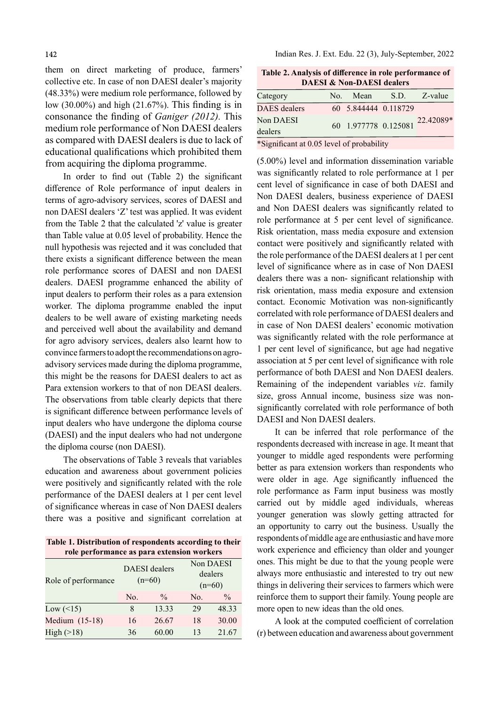them on direct marketing of produce, farmers' collective etc. In case of non DAESI dealer's majority (48.33%) were medium role performance, followed by low  $(30.00\%)$  and high  $(21.67\%)$ . This finding is in consonance the finding of *Ganiger (2012)*. This medium role performance of Non DAESI dealers as compared with DAESI dealers is due to lack of educational qualifications which prohibited them from acquiring the diploma programme.

In order to find out (Table 2) the significant difference of Role performance of input dealers in terms of agro-advisory services, scores of DAESI and non DAESI dealers 'Z' test was applied. It was evident from the Table 2 that the calculated 'z' value is greater than Table value at 0.05 level of probability. Hence the null hypothesis was rejected and it was concluded that there exists a significant difference between the mean role performance scores of DAESI and non DAESI dealers. DAESI programme enhanced the ability of input dealers to perform their roles as a para extension worker. The diploma programme enabled the input dealers to be well aware of existing marketing needs and perceived well about the availability and demand for agro advisory services, dealers also learnt how to convince farmers to adopt the recommendations on agroadvisory services made during the diploma programme, this might be the reasons for DAESI dealers to act as Para extension workers to that of non DEASI dealers. The observations from table clearly depicts that there is significant difference between performance levels of input dealers who have undergone the diploma course (DAESI) and the input dealers who had not undergone the diploma course (non DAESI).

The observations of Table 3 reveals that variables education and awareness about government policies were positively and significantly related with the role performance of the DAESI dealers at 1 per cent level of significance whereas in case of Non DAESI dealers there was a positive and significant correlation at

Table 1. Distribution of respondents according to their role performance as para extension workers

| Role of performance |     | <b>DAESI</b> dealers<br>$(n=60)$ | Non DAESI<br>dealers<br>$(n=60)$ |               |
|---------------------|-----|----------------------------------|----------------------------------|---------------|
|                     | No. | $\frac{0}{0}$                    | No.                              | $\frac{0}{0}$ |
| Low $($ 15)         | 8   | 13.33                            | 29                               | 48.33         |
| Medium (15-18)      | 16  | 26.67                            | 18                               | 30.00         |
| High ( > 18)        | 36  | 60.00                            | 13                               | 21.67         |

Indian Res. J. Ext. Edu. 22 (3), July-September, 2022

Table 2. Analysis of difference in role performance of DAESI & Non-DAESI dealers

| Category                                                                                                                                                                                            |  | No. Mean             | S.D. | Z-value   |  |  |
|-----------------------------------------------------------------------------------------------------------------------------------------------------------------------------------------------------|--|----------------------|------|-----------|--|--|
| <b>DAES</b> dealers                                                                                                                                                                                 |  | 60 5.844444 0.118729 |      |           |  |  |
| Non DAESI<br>dealers                                                                                                                                                                                |  | 60 1.977778 0.125081 |      | 22.42089* |  |  |
| $\mathcal{L} \cap \mathcal{L}$ . $\mathcal{L} \cap \mathcal{L}$ . $\mathcal{L} \cap \mathcal{L}$ . $\mathcal{L} \cap \mathcal{L}$ . $\mathcal{L} \cap \mathcal{L}$ . $\mathcal{L} \cap \mathcal{L}$ |  |                      |      |           |  |  |

\*Significant at 0.05 level of probability

(5.00%) level and information dissemination variable was significantly related to role performance at 1 per cent level of significance in case of both DAESI and Non DAESI dealers, business experience of DAESI and Non DAESI dealers was significantly related to role performance at 5 per cent level of significance. Risk orientation, mass media exposure and extension contact were positively and significantly related with the role performance of the DAESI dealers at 1 per cent level of significance where as in case of Non DAESI dealers there was a non- significant relationship with risk orientation, mass media exposure and extension contact. Economic Motivation was non-significantly correlated with role performance of DAESI dealers and in case of Non DAESI dealers' economic motivation was significantly related with the role performance at 1 per cent level of significance, but age had negative association at 5 per cent level of significance with role performance of both DAESI and Non DAESI dealers. Remaining of the independent variables viz. family size, gross Annual income, business size was nonsignificantly correlated with role performance of both DAESI and Non DAESI dealers.

It can be inferred that role performance of the respondents decreased with increase in age. It meant that younger to middle aged respondents were performing better as para extension workers than respondents who were older in age. Age significantly influenced the role performance as Farm input business was mostly carried out by middle aged individuals, whereas younger generation was slowly getting attracted for an opportunity to carry out the business. Usually the respondents of middle age are enthusiastic and have more work experience and efficiency than older and younger ones. This might be due to that the young people were always more enthusiastic and interested to try out new things in delivering their services to farmers which were reinforce them to support their family. Young people are more open to new ideas than the old ones.

A look at the computed coefficient of correlation (r) between education and awareness about government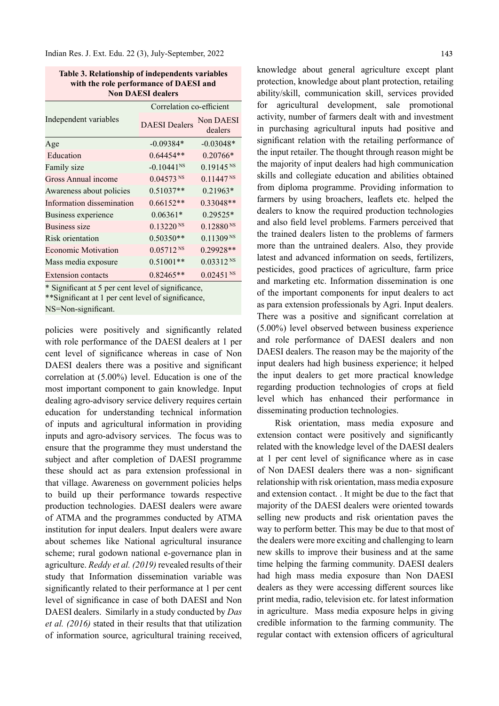| Table 3. Relationship of independents variables |
|-------------------------------------------------|
| with the role performance of DAESI and          |
| <b>Non DAESI dealers</b>                        |

|                            | Correlation co-efficient |                         |  |  |
|----------------------------|--------------------------|-------------------------|--|--|
| Independent variables      | <b>DAESI</b> Dealers     | Non DAESI<br>dealers    |  |  |
| Age                        | $-0.09384*$              | $-0.03048*$             |  |  |
| Education                  | 0.64454**                | $0.20766*$              |  |  |
| Family size                | $-0.10441$ <sup>NS</sup> | $0.19145^{NS}$          |  |  |
| Gross Annual income        | $0.04573$ <sup>NS</sup>  | $0.11447^{NS}$          |  |  |
| Awareness about policies   | $0.51037**$              | $0.21963*$              |  |  |
| Information dissemination  | $0.66152**$              | $0.33048**$             |  |  |
| Business experience        | $0.06361*$               | 0.29525*                |  |  |
| Business size              | $0.13220$ <sup>NS</sup>  | $0.12880^{NS}$          |  |  |
| Risk orientation           | $0.50350**$              | $0.11309$ <sub>NS</sub> |  |  |
| <b>Economic Motivation</b> | $0.05712^{NS}$           | 0.29928**               |  |  |
| Mass media exposure        | $0.51001**$              | $0.03312^{NS}$          |  |  |
| Extension contacts         | $0.82465**$              | $0.02451$ <sup>NS</sup> |  |  |

\* Significant at 5 per cent level of significance,

\*\*Significant at 1 per cent level of significance,

NS=Non-significant.

policies were positively and significantly related with role performance of the DAESI dealers at 1 per cent level of significance whereas in case of Non DAESI dealers there was a positive and significant correlation at (5.00%) level. Education is one of the most important component to gain knowledge. Input dealing agro-advisory service delivery requires certain education for understanding technical information of inputs and agricultural information in providing inputs and agro-advisory services. The focus was to ensure that the programme they must understand the subject and after completion of DAESI programme these should act as para extension professional in that village. Awareness on government policies helps to build up their performance towards respective production technologies. DAESI dealers were aware of ATMA and the programmes conducted by ATMA institution for input dealers. Input dealers were aware about schemes like National agricultural insurance scheme; rural godown national e-governance plan in agriculture. Reddy et al. (2019) revealed results of their study that Information dissemination variable was significantly related to their performance at 1 per cent level of significance in case of both DAESI and Non DAESI dealers. Similarly in a study conducted by Das et al. (2016) stated in their results that that utilization of information source, agricultural training received,

knowledge about general agriculture except plant protection, knowledge about plant protection, retailing ability/skill, communication skill, services provided for agricultural development, sale promotional activity, number of farmers dealt with and investment in purchasing agricultural inputs had positive and significant relation with the retailing performance of the input retailer. The thought through reason might be the majority of input dealers had high communication skills and collegiate education and abilities obtained from diploma programme. Providing information to farmers by using broachers, leaflets etc. helped the dealers to know the required production technologies and also field level problems. Farmers perceived that the trained dealers listen to the problems of farmers more than the untrained dealers. Also, they provide latest and advanced information on seeds, fertilizers, pesticides, good practices of agriculture, farm price and marketing etc. Information dissemination is one of the important components for input dealers to act as para extension professionals by Agri. Input dealers. There was a positive and significant correlation at (5.00%) level observed between business experience and role performance of DAESI dealers and non DAESI dealers. The reason may be the majority of the input dealers had high business experience; it helped the input dealers to get more practical knowledge regarding production technologies of crops at field level which has enhanced their performance in disseminating production technologies.

Risk orientation, mass media exposure and extension contact were positively and significantly related with the knowledge level of the DAESI dealers at 1 per cent level of significance where as in case of Non DAESI dealers there was a non-significant relationship with risk orientation, mass media exposure and extension contact. . It might be due to the fact that majority of the DAESI dealers were oriented towards selling new products and risk orientation paves the way to perform better. This may be due to that most of the dealers were more exciting and challenging to learn new skills to improve their business and at the same time helping the farming community. DAESI dealers had high mass media exposure than Non DAESI dealers as they were accessing different sources like print media, radio, television etc. for latest information in agriculture. Mass media exposure helps in giving credible information to the farming community. The regular contact with extension officers of agricultural